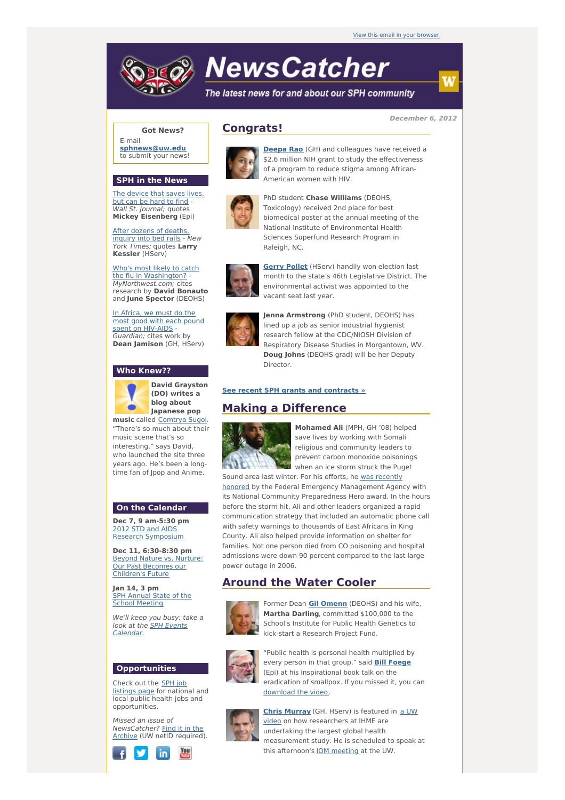# **NewsCatcher**

The latest news for and about our SPH community

**December 6, 2012**

# **Got News?**

E-mail **[sphnews@uw.edu](mailto:sphnews@uw.edu)** to submit your news!

#### **SPH in the News**

The [device](http://engage.washington.edu/site/R?i=9tXMT7F0uyFOmx3gvQiCcA) that saves lives, but can be hard to find - Wall St. Journal: quotes **Mickey Eisenberg** (Epi)

After dozens of deaths inquiry into bed rails - New York Times; quotes **Larry Kessler** (HServ)

Who's most likely to catch the flu in [Washington?](http://engage.washington.edu/site/R?i=9IT9ikKafN1SCsIpiVkd6g) -MyNorthwest.com; cites research by **David Bonauto** and **June Spector** (DEOHS)

In Africa, we must do the most good with each pound spent on [HIV-AIDS](http://engage.washington.edu/site/R?i=bmeigKXMh-rzlfAFW_k78Q) -Guardian; cites work by **Dean Jamison** (GH, HServ)

#### **Who Knew??**



**David Grayston (DO) writes a blog about Japanese pop**

**music** called [Comtrya](http://engage.washington.edu/site/R?i=cf9dO8kiySxNb71MtZO1wg) Sugoi. "There's so much about their music scene that's so interesting," says David, who launched the site three years ago. He's been a longtime fan of Ipop and Anime.

#### **On the Calendar**

**Dec 7, 9 am-5:30 pm** 2012 STD and AIDS Research [Symposium](http://engage.washington.edu/site/R?i=oEdnu3lVNFPwlS8KjtDv2A)

**Dec 11, 6:30-8:30 pm** Beyond Nature vs. Nurture: Our Past [Becomes](http://engage.washington.edu/site/R?i=qyjpdlQsrJAYfgiQm467Pg) our Children's Future

**Jan 14, 3 pm** SPH Annual State of the School [Meeting](http://engage.washington.edu/site/R?i=DlbZRyCVSggv2e1JtKQ3RA)

We'll keep you busy: take a look at the SPH Events [Calendar.](http://engage.washington.edu/site/R?i=_-oCPi_7gV84sBTCax9MRQ)

#### **Opportunities**

Check out the SPH job [listings](http://engage.washington.edu/site/R?i=8elmiqKtI3Hx5lnP8KP2dw) page for national and **local public health jobs and** opportunities.

Missed an issue of [NewsCatcher?](http://engage.washington.edu/site/R?i=LXwTy6PYbIDnHKw57rxGxw) Find it in the Archive (UW netID required).



## **Congrats!**



**[Deepa](http://engage.washington.edu/site/R?i=6ZAEzDV1pZiV2YdkgQGLjA) Rao** (GH) and colleagues have received a \$2.6 million NIH grant to study the effectiveness of a program to reduce stigma among African-American women with HIV.



PhD student **Chase Williams** (DEOHS, Toxicology) received 2nd place for best biomedical poster at the annual meeting of the National Institute of Environmental Health Sciences Superfund Research Program in Raleigh, NC.



**[Gerry](http://engage.washington.edu/site/R?i=7w3i7WjToY4BZVdhhYoEVA) Pollet** (HServ) handily won election last month to the state's 46th Legislative District. The environmental activist was appointed to the vacant seat last year.



**Jenna Armstrong** (PhD student, DEOHS) has lined up a job as senior industrial hygienist research fellow at the CDC/NIOSH Division of Respiratory Disease Studies in Morgantown, WV. **Doug Johns** (DEOHS grad) will be her Deputy **Director** 

#### **See recent SPH grants and [contracts](http://engage.washington.edu/site/R?i=PwxtMlH3jOv9X6YhlmHvKw) »**

### **Making a Difference**



**Mohamed Ali** (MPH, GH '08) helped save lives by working with Somali religious and community leaders to prevent carbon monoxide poisonings when an ice storm struck the Puget

Sound area last winter. For his efforts, he was recently honored by the Federal Emergency [Management](http://engage.washington.edu/site/R?i=xTvyyGOOcS8B-7-9f8l4PA) Agency with its National Community Preparedness Hero award. In the hours before the storm hit, Ali and other leaders organized a rapid communication strategy that included an automatic phone call with safety warnings to thousands of East Africans in King County. Ali also helped provide information on shelter for families. Not one person died from CO poisoning and hospital admissions were down 90 percent compared to the last large power outage in 2006.

# **Around the Water Cooler**



Former Dean **Gil [Omenn](http://engage.washington.edu/site/R?i=sKyXsuhpyoSMcxZzz0SBYg)** (DEOHS) and his wife, **Martha Darling**, committed \$100,000 to the School's Institute for Public Health Genetics to kick-start a Research Project Fund.



"Public health is personal health multiplied by every person in that group," said **Bill [Foege](http://engage.washington.edu/site/R?i=jaKitfES6Siyj5UhZkDC7g)** (Epi) at his inspirational book talk on the eradication of smallpox. If you missed it, you can [download](http://engage.washington.edu/site/R?i=hZ1kbGPL-WZU9tQos3KdIQ) the video.



**Chris [Murray](http://engage.washington.edu/site/R?i=TKotgk_bu8_aH-VhxaJ50A)** (GH, HServ) is featured in a UW video on how [researchers](http://engage.washington.edu/site/R?i=hmYUD_jiL9LPwpxLKTDvxA) at IHME are undertaking the largest global health measurement study. He is scheduled to speak at this afternoon's IOM [meeting](http://engage.washington.edu/site/R?i=fMFtxa1F6io253d3dxQQVg) at the UW.

w